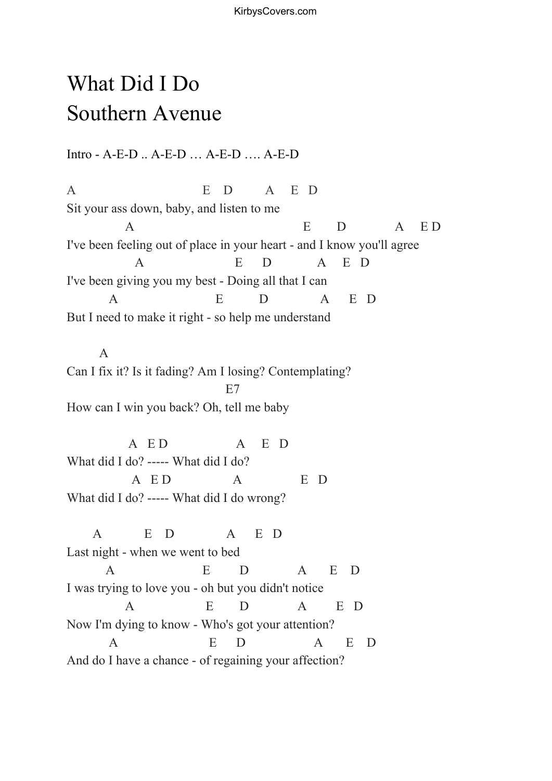KirbysCovers.com

## What Did I Do Southern Avenue

Intro - A-E-D .. A-E-D … A-E-D …. A-E-D

A E D A E D Sit your ass down, baby, and listen to me A E D A E D I've been feeling out of place in your heart - and I know you'll agree A E D A E D I've been giving you my best - Doing all that I can A E D A E D But I need to make it right - so help me understand

A Can I fix it? Is it fading? Am I losing? Contemplating? E7 How can I win you back? Oh, tell me baby

A E D A E D What did I do? ----- What did I do? A ED A ED What did I do? ----- What did I do wrong?

A E D A E D Last night - when we went to bed A E D A E D I was trying to love you - oh but you didn't notice A E D A E D Now I'm dying to know - Who's got your attention? A E D A E D And do I have a chance - of regaining your affection?